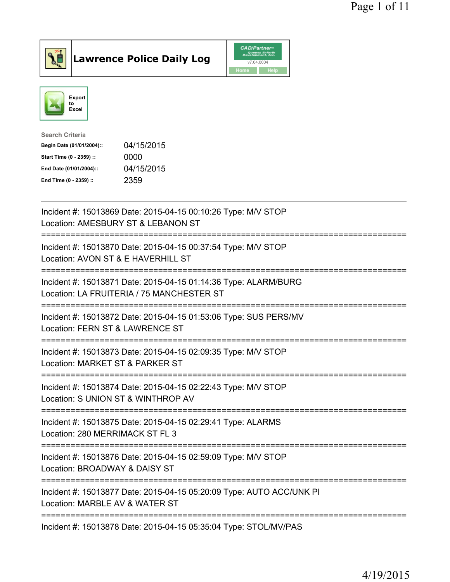

## Lawrence Police Daily Log

|      | <b>CAD/Partner</b> <sup>*</sup><br><b>Queues Enforth</b><br>Development, Inc. |
|------|-------------------------------------------------------------------------------|
|      | v7.04.0004                                                                    |
| Home | Help                                                                          |



| Search Criteria           |            |
|---------------------------|------------|
| Begin Date (01/01/2004):: | 04/15/2015 |
| Start Time (0 - 2359) ::  | 0000       |
| End Date (01/01/2004)::   | 04/15/2015 |
| End Time (0 - 2359) ::    | 2359       |
|                           |            |

| Incident #: 15013869 Date: 2015-04-15 00:10:26 Type: M/V STOP<br>Location: AMESBURY ST & LEBANON ST          |
|--------------------------------------------------------------------------------------------------------------|
| Incident #: 15013870 Date: 2015-04-15 00:37:54 Type: M/V STOP<br>Location: AVON ST & E HAVERHILL ST          |
| Incident #: 15013871 Date: 2015-04-15 01:14:36 Type: ALARM/BURG<br>Location: LA FRUITERIA / 75 MANCHESTER ST |
| Incident #: 15013872 Date: 2015-04-15 01:53:06 Type: SUS PERS/MV<br>Location: FERN ST & LAWRENCE ST          |
| Incident #: 15013873 Date: 2015-04-15 02:09:35 Type: M/V STOP<br>Location: MARKET ST & PARKER ST             |
| Incident #: 15013874 Date: 2015-04-15 02:22:43 Type: M/V STOP<br>Location: S UNION ST & WINTHROP AV          |
| Incident #: 15013875 Date: 2015-04-15 02:29:41 Type: ALARMS<br>Location: 280 MERRIMACK ST FL 3               |
| Incident #: 15013876 Date: 2015-04-15 02:59:09 Type: M/V STOP<br>Location: BROADWAY & DAISY ST               |
| Incident #: 15013877 Date: 2015-04-15 05:20:09 Type: AUTO ACC/UNK PI<br>Location: MARBLE AV & WATER ST       |
| Incident #: 15013878 Date: 2015-04-15 05:35:04 Type: STOL/MV/PAS                                             |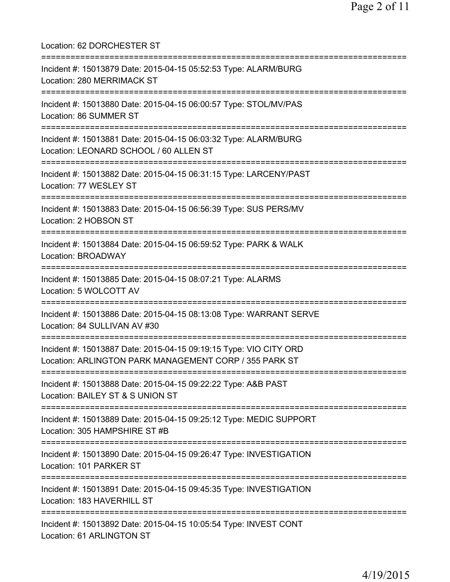Location: 62 DORCHESTER ST =========================================================================== Incident #: 15013879 Date: 2015-04-15 05:52:53 Type: ALARM/BURG Location: 280 MERRIMACK ST =========================================================================== Incident #: 15013880 Date: 2015-04-15 06:00:57 Type: STOL/MV/PAS Location: 86 SUMMER ST =========================================================================== Incident #: 15013881 Date: 2015-04-15 06:03:32 Type: ALARM/BURG Location: LEONARD SCHOOL / 60 ALLEN ST =========================================================================== Incident #: 15013882 Date: 2015-04-15 06:31:15 Type: LARCENY/PAST Location: 77 WESLEY ST =========================================================================== Incident #: 15013883 Date: 2015-04-15 06:56:39 Type: SUS PERS/MV Location: 2 HOBSON ST =========================================================================== Incident #: 15013884 Date: 2015-04-15 06:59:52 Type: PARK & WALK Location: BROADWAY =========================================================================== Incident #: 15013885 Date: 2015-04-15 08:07:21 Type: ALARMS Location: 5 WOLCOTT AV =========================================================================== Incident #: 15013886 Date: 2015-04-15 08:13:08 Type: WARRANT SERVE Location: 84 SULLIVAN AV #30 =========================================================================== Incident #: 15013887 Date: 2015-04-15 09:19:15 Type: VIO CITY ORD Location: ARLINGTON PARK MANAGEMENT CORP / 355 PARK ST =========================================================================== Incident #: 15013888 Date: 2015-04-15 09:22:22 Type: A&B PAST Location: BAILEY ST & S UNION ST =========================================================================== Incident #: 15013889 Date: 2015-04-15 09:25:12 Type: MEDIC SUPPORT Location: 305 HAMPSHIRE ST #B =========================================================================== Incident #: 15013890 Date: 2015-04-15 09:26:47 Type: INVESTIGATION Location: 101 PARKER ST =========================================================================== Incident #: 15013891 Date: 2015-04-15 09:45:35 Type: INVESTIGATION Location: 183 HAVERHILL ST =========================================================================== Incident #: 15013892 Date: 2015-04-15 10:05:54 Type: INVEST CONT Location: 61 ARLINGTON ST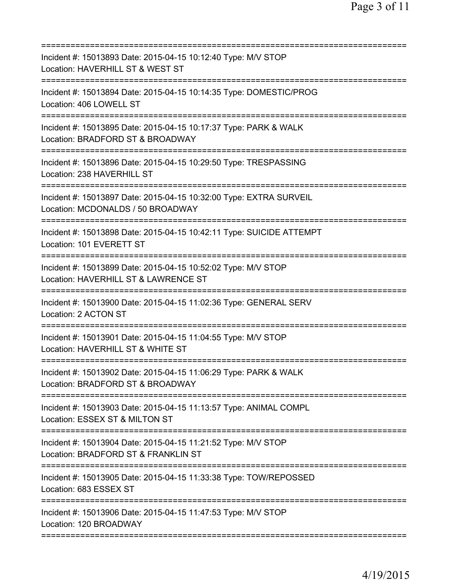| Incident #: 15013893 Date: 2015-04-15 10:12:40 Type: M/V STOP<br>Location: HAVERHILL ST & WEST ST                |
|------------------------------------------------------------------------------------------------------------------|
| Incident #: 15013894 Date: 2015-04-15 10:14:35 Type: DOMESTIC/PROG<br>Location: 406 LOWELL ST                    |
| Incident #: 15013895 Date: 2015-04-15 10:17:37 Type: PARK & WALK<br>Location: BRADFORD ST & BROADWAY             |
| Incident #: 15013896 Date: 2015-04-15 10:29:50 Type: TRESPASSING<br>Location: 238 HAVERHILL ST                   |
| Incident #: 15013897 Date: 2015-04-15 10:32:00 Type: EXTRA SURVEIL<br>Location: MCDONALDS / 50 BROADWAY          |
| Incident #: 15013898 Date: 2015-04-15 10:42:11 Type: SUICIDE ATTEMPT<br>Location: 101 EVERETT ST                 |
| Incident #: 15013899 Date: 2015-04-15 10:52:02 Type: M/V STOP<br>Location: HAVERHILL ST & LAWRENCE ST            |
| Incident #: 15013900 Date: 2015-04-15 11:02:36 Type: GENERAL SERV<br>Location: 2 ACTON ST<br>=================== |
| Incident #: 15013901 Date: 2015-04-15 11:04:55 Type: M/V STOP<br>Location: HAVERHILL ST & WHITE ST               |
| Incident #: 15013902 Date: 2015-04-15 11:06:29 Type: PARK & WALK<br>Location: BRADFORD ST & BROADWAY             |
| Incident #: 15013903 Date: 2015-04-15 11:13:57 Type: ANIMAL COMPL<br>Location: ESSEX ST & MILTON ST              |
| Incident #: 15013904 Date: 2015-04-15 11:21:52 Type: M/V STOP<br>Location: BRADFORD ST & FRANKLIN ST             |
| Incident #: 15013905 Date: 2015-04-15 11:33:38 Type: TOW/REPOSSED<br>Location: 683 ESSEX ST                      |
| Incident #: 15013906 Date: 2015-04-15 11:47:53 Type: M/V STOP<br>Location: 120 BROADWAY                          |
|                                                                                                                  |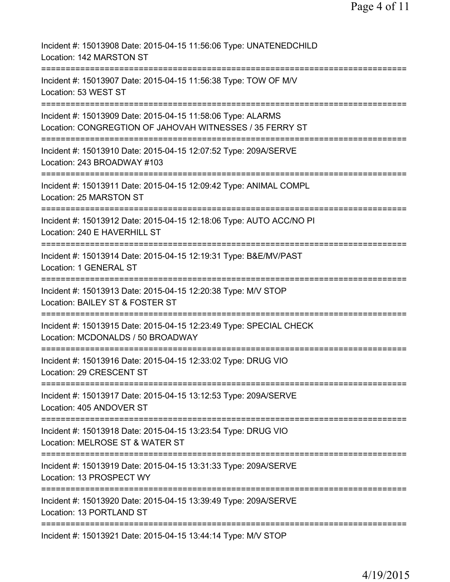| Incident #: 15013908 Date: 2015-04-15 11:56:06 Type: UNATENEDCHILD<br>Location: 142 MARSTON ST                                  |
|---------------------------------------------------------------------------------------------------------------------------------|
| Incident #: 15013907 Date: 2015-04-15 11:56:38 Type: TOW OF M/V<br>Location: 53 WEST ST                                         |
| Incident #: 15013909 Date: 2015-04-15 11:58:06 Type: ALARMS<br>Location: CONGREGTION OF JAHOVAH WITNESSES / 35 FERRY ST         |
| Incident #: 15013910 Date: 2015-04-15 12:07:52 Type: 209A/SERVE<br>Location: 243 BROADWAY #103                                  |
| Incident #: 15013911 Date: 2015-04-15 12:09:42 Type: ANIMAL COMPL<br>Location: 25 MARSTON ST                                    |
| Incident #: 15013912 Date: 2015-04-15 12:18:06 Type: AUTO ACC/NO PI<br>Location: 240 E HAVERHILL ST                             |
| Incident #: 15013914 Date: 2015-04-15 12:19:31 Type: B&E/MV/PAST<br>Location: 1 GENERAL ST                                      |
| Incident #: 15013913 Date: 2015-04-15 12:20:38 Type: M/V STOP<br>Location: BAILEY ST & FOSTER ST                                |
| Incident #: 15013915 Date: 2015-04-15 12:23:49 Type: SPECIAL CHECK<br>Location: MCDONALDS / 50 BROADWAY                         |
| Incident #: 15013916 Date: 2015-04-15 12:33:02 Type: DRUG VIO<br>Location: 29 CRESCENT ST                                       |
| Incident #: 15013917 Date: 2015-04-15 13:12:53 Type: 209A/SERVE<br>Location: 405 ANDOVER ST                                     |
| Incident #: 15013918 Date: 2015-04-15 13:23:54 Type: DRUG VIO<br>Location: MELROSE ST & WATER ST<br>=========================== |
| Incident #: 15013919 Date: 2015-04-15 13:31:33 Type: 209A/SERVE<br>Location: 13 PROSPECT WY                                     |
| Incident #: 15013920 Date: 2015-04-15 13:39:49 Type: 209A/SERVE<br>Location: 13 PORTLAND ST                                     |
| Incident #: 15013921 Date: 2015-04-15 13:44:14 Type: M/V STOP                                                                   |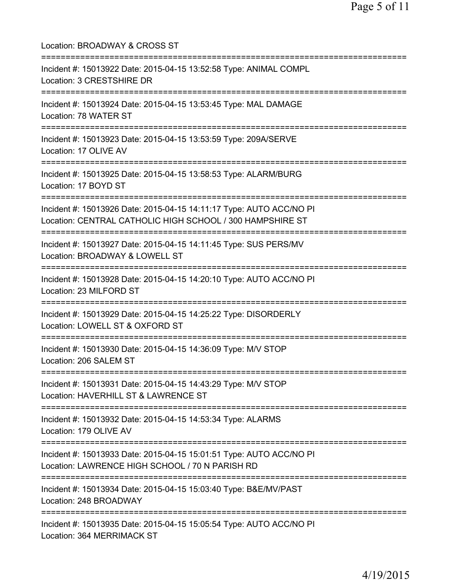Location: BROADWAY & CROSS ST =========================================================================== Incident #: 15013922 Date: 2015-04-15 13:52:58 Type: ANIMAL COMPL Location: 3 CRESTSHIRE DR =========================================================================== Incident #: 15013924 Date: 2015-04-15 13:53:45 Type: MAL DAMAGE Location: 78 WATER ST =========================================================================== Incident #: 15013923 Date: 2015-04-15 13:53:59 Type: 209A/SERVE Location: 17 OLIVE AV =========================================================================== Incident #: 15013925 Date: 2015-04-15 13:58:53 Type: ALARM/BURG Location: 17 BOYD ST =========================================================================== Incident #: 15013926 Date: 2015-04-15 14:11:17 Type: AUTO ACC/NO PI Location: CENTRAL CATHOLIC HIGH SCHOOL / 300 HAMPSHIRE ST =========================================================================== Incident #: 15013927 Date: 2015-04-15 14:11:45 Type: SUS PERS/MV Location: BROADWAY & LOWELL ST =========================================================================== Incident #: 15013928 Date: 2015-04-15 14:20:10 Type: AUTO ACC/NO PI Location: 23 MILFORD ST =========================================================================== Incident #: 15013929 Date: 2015-04-15 14:25:22 Type: DISORDERLY Location: LOWELL ST & OXFORD ST =========================================================================== Incident #: 15013930 Date: 2015-04-15 14:36:09 Type: M/V STOP Location: 206 SALEM ST =========================================================================== Incident #: 15013931 Date: 2015-04-15 14:43:29 Type: M/V STOP Location: HAVERHILL ST & LAWRENCE ST =========================================================================== Incident #: 15013932 Date: 2015-04-15 14:53:34 Type: ALARMS Location: 179 OLIVE AV =========================================================================== Incident #: 15013933 Date: 2015-04-15 15:01:51 Type: AUTO ACC/NO PI Location: LAWRENCE HIGH SCHOOL / 70 N PARISH RD =========================================================================== Incident #: 15013934 Date: 2015-04-15 15:03:40 Type: B&E/MV/PAST Location: 248 BROADWAY =========================================================================== Incident #: 15013935 Date: 2015-04-15 15:05:54 Type: AUTO ACC/NO PI Location: 364 MERRIMACK ST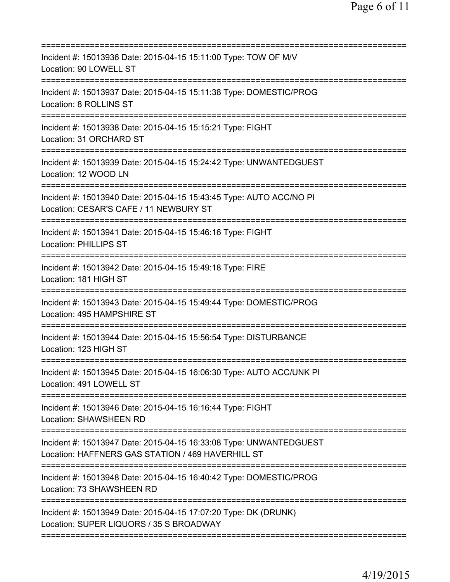| =========================                                                                                                                                 |
|-----------------------------------------------------------------------------------------------------------------------------------------------------------|
| Incident #: 15013936 Date: 2015-04-15 15:11:00 Type: TOW OF M/V<br>Location: 90 LOWELL ST                                                                 |
| Incident #: 15013937 Date: 2015-04-15 15:11:38 Type: DOMESTIC/PROG<br>Location: 8 ROLLINS ST                                                              |
| Incident #: 15013938 Date: 2015-04-15 15:15:21 Type: FIGHT<br>Location: 31 ORCHARD ST                                                                     |
| Incident #: 15013939 Date: 2015-04-15 15:24:42 Type: UNWANTEDGUEST<br>Location: 12 WOOD LN                                                                |
| Incident #: 15013940 Date: 2015-04-15 15:43:45 Type: AUTO ACC/NO PI<br>Location: CESAR'S CAFE / 11 NEWBURY ST                                             |
| Incident #: 15013941 Date: 2015-04-15 15:46:16 Type: FIGHT<br><b>Location: PHILLIPS ST</b>                                                                |
| Incident #: 15013942 Date: 2015-04-15 15:49:18 Type: FIRE<br>Location: 181 HIGH ST<br>=============                                                       |
| Incident #: 15013943 Date: 2015-04-15 15:49:44 Type: DOMESTIC/PROG<br>Location: 495 HAMPSHIRE ST                                                          |
| Incident #: 15013944 Date: 2015-04-15 15:56:54 Type: DISTURBANCE<br>Location: 123 HIGH ST                                                                 |
| ===============<br>Incident #: 15013945 Date: 2015-04-15 16:06:30 Type: AUTO ACC/UNK PI<br>Location: 491 LOWELL ST                                        |
| Incident #: 15013946 Date: 2015-04-15 16:16:44 Type: FIGHT<br><b>Location: SHAWSHEEN RD</b>                                                               |
| Incident #: 15013947 Date: 2015-04-15 16:33:08 Type: UNWANTEDGUEST<br>Location: HAFFNERS GAS STATION / 469 HAVERHILL ST<br>============================== |
| Incident #: 15013948 Date: 2015-04-15 16:40:42 Type: DOMESTIC/PROG<br>Location: 73 SHAWSHEEN RD                                                           |
| Incident #: 15013949 Date: 2015-04-15 17:07:20 Type: DK (DRUNK)<br>Location: SUPER LIQUORS / 35 S BROADWAY                                                |
|                                                                                                                                                           |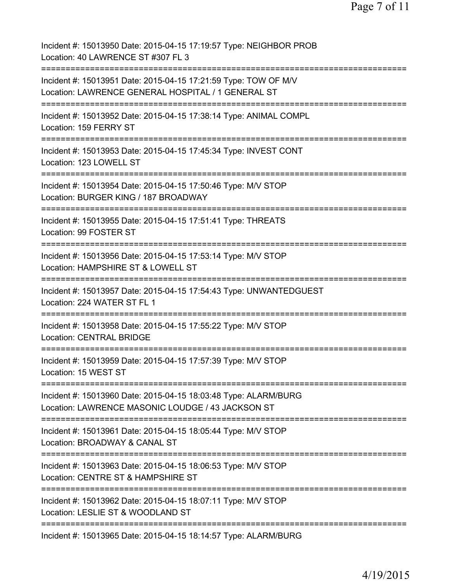Page 7 of 11

Incident #: 15013950 Date: 2015-04-15 17:19:57 Type: NEIGHBOR PROB Location: 40 LAWRENCE ST #307 FL 3 =========================================================================== Incident #: 15013951 Date: 2015-04-15 17:21:59 Type: TOW OF M/V Location: LAWRENCE GENERAL HOSPITAL / 1 GENERAL ST =========================================================================== Incident #: 15013952 Date: 2015-04-15 17:38:14 Type: ANIMAL COMPL Location: 159 FERRY ST =========================================================================== Incident #: 15013953 Date: 2015-04-15 17:45:34 Type: INVEST CONT Location: 123 LOWELL ST =========================================================================== Incident #: 15013954 Date: 2015-04-15 17:50:46 Type: M/V STOP Location: BURGER KING / 187 BROADWAY =========================================================================== Incident #: 15013955 Date: 2015-04-15 17:51:41 Type: THREATS Location: 99 FOSTER ST =========================================================================== Incident #: 15013956 Date: 2015-04-15 17:53:14 Type: M/V STOP Location: HAMPSHIRE ST & LOWELL ST =========================================================================== Incident #: 15013957 Date: 2015-04-15 17:54:43 Type: UNWANTEDGUEST Location: 224 WATER ST FL 1 =========================================================================== Incident #: 15013958 Date: 2015-04-15 17:55:22 Type: M/V STOP Location: CENTRAL BRIDGE =========================================================================== Incident #: 15013959 Date: 2015-04-15 17:57:39 Type: M/V STOP Location: 15 WEST ST =========================================================================== Incident #: 15013960 Date: 2015-04-15 18:03:48 Type: ALARM/BURG Location: LAWRENCE MASONIC LOUDGE / 43 JACKSON ST =========================================================================== Incident #: 15013961 Date: 2015-04-15 18:05:44 Type: M/V STOP Location: BROADWAY & CANAL ST =========================================================================== Incident #: 15013963 Date: 2015-04-15 18:06:53 Type: M/V STOP Location: CENTRE ST & HAMPSHIRE ST =========================================================================== Incident #: 15013962 Date: 2015-04-15 18:07:11 Type: M/V STOP Location: LESLIE ST & WOODLAND ST =========================================================================== Incident #: 15013965 Date: 2015-04-15 18:14:57 Type: ALARM/BURG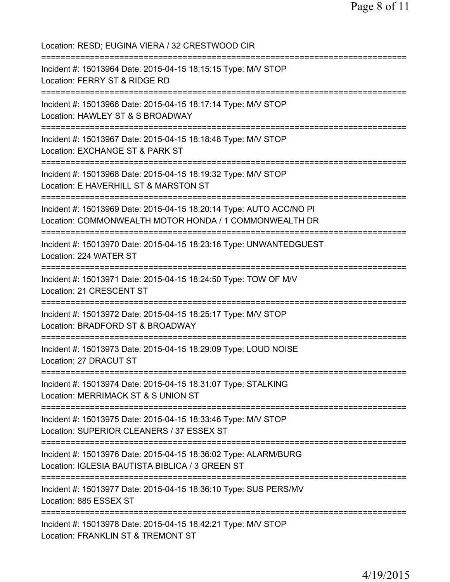Location: RESD; EUGINA VIERA / 32 CRESTWOOD CIR =========================================================================== Incident #: 15013964 Date: 2015-04-15 18:15:15 Type: M/V STOP Location: FERRY ST & RIDGE RD =========================================================================== Incident #: 15013966 Date: 2015-04-15 18:17:14 Type: M/V STOP Location: HAWLEY ST & S BROADWAY =========================================================================== Incident #: 15013967 Date: 2015-04-15 18:18:48 Type: M/V STOP Location: EXCHANGE ST & PARK ST =========================================================================== Incident #: 15013968 Date: 2015-04-15 18:19:32 Type: M/V STOP Location: E HAVERHILL ST & MARSTON ST =========================================================================== Incident #: 15013969 Date: 2015-04-15 18:20:14 Type: AUTO ACC/NO PI Location: COMMONWEALTH MOTOR HONDA / 1 COMMONWEALTH DR =========================================================================== Incident #: 15013970 Date: 2015-04-15 18:23:16 Type: UNWANTEDGUEST Location: 224 WATER ST =========================================================================== Incident #: 15013971 Date: 2015-04-15 18:24:50 Type: TOW OF M/V Location: 21 CRESCENT ST =========================================================================== Incident #: 15013972 Date: 2015-04-15 18:25:17 Type: M/V STOP Location: BRADFORD ST & BROADWAY =========================================================================== Incident #: 15013973 Date: 2015-04-15 18:29:09 Type: LOUD NOISE Location: 27 DRACUT ST =========================================================================== Incident #: 15013974 Date: 2015-04-15 18:31:07 Type: STALKING Location: MERRIMACK ST & S UNION ST =========================================================================== Incident #: 15013975 Date: 2015-04-15 18:33:46 Type: M/V STOP Location: SUPERIOR CLEANERS / 37 ESSEX ST =========================================================================== Incident #: 15013976 Date: 2015-04-15 18:36:02 Type: ALARM/BURG Location: IGLESIA BAUTISTA BIBLICA / 3 GREEN ST =========================================================================== Incident #: 15013977 Date: 2015-04-15 18:36:10 Type: SUS PERS/MV Location: 885 ESSEX ST =========================================================================== Incident #: 15013978 Date: 2015-04-15 18:42:21 Type: M/V STOP Location: FRANKLIN ST & TREMONT ST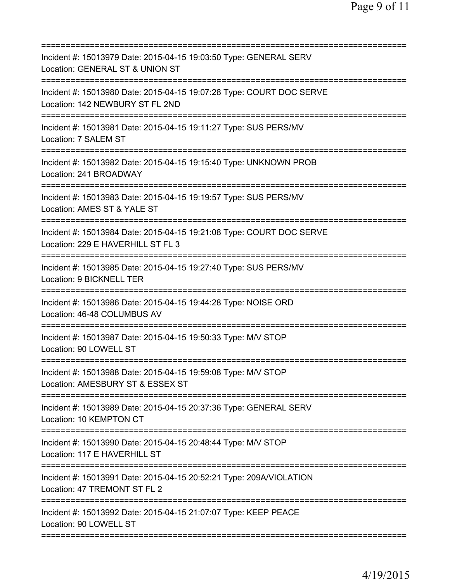| ===========================                                                                               |
|-----------------------------------------------------------------------------------------------------------|
| Incident #: 15013979 Date: 2015-04-15 19:03:50 Type: GENERAL SERV<br>Location: GENERAL ST & UNION ST      |
| Incident #: 15013980 Date: 2015-04-15 19:07:28 Type: COURT DOC SERVE<br>Location: 142 NEWBURY ST FL 2ND   |
| Incident #: 15013981 Date: 2015-04-15 19:11:27 Type: SUS PERS/MV<br>Location: 7 SALEM ST                  |
| Incident #: 15013982 Date: 2015-04-15 19:15:40 Type: UNKNOWN PROB<br>Location: 241 BROADWAY               |
| Incident #: 15013983 Date: 2015-04-15 19:19:57 Type: SUS PERS/MV<br>Location: AMES ST & YALE ST           |
| Incident #: 15013984 Date: 2015-04-15 19:21:08 Type: COURT DOC SERVE<br>Location: 229 E HAVERHILL ST FL 3 |
| Incident #: 15013985 Date: 2015-04-15 19:27:40 Type: SUS PERS/MV<br>Location: 9 BICKNELL TER              |
| Incident #: 15013986 Date: 2015-04-15 19:44:28 Type: NOISE ORD<br>Location: 46-48 COLUMBUS AV             |
| Incident #: 15013987 Date: 2015-04-15 19:50:33 Type: M/V STOP<br>Location: 90 LOWELL ST                   |
| Incident #: 15013988 Date: 2015-04-15 19:59:08 Type: M/V STOP<br>Location: AMESBURY ST & ESSEX ST         |
| Incident #: 15013989 Date: 2015-04-15 20:37:36 Type: GENERAL SERV<br>Location: 10 KEMPTON CT              |
| Incident #: 15013990 Date: 2015-04-15 20:48:44 Type: M/V STOP<br>Location: 117 E HAVERHILL ST             |
| Incident #: 15013991 Date: 2015-04-15 20:52:21 Type: 209A/VIOLATION<br>Location: 47 TREMONT ST FL 2       |
| Incident #: 15013992 Date: 2015-04-15 21:07:07 Type: KEEP PEACE<br>Location: 90 LOWELL ST                 |
|                                                                                                           |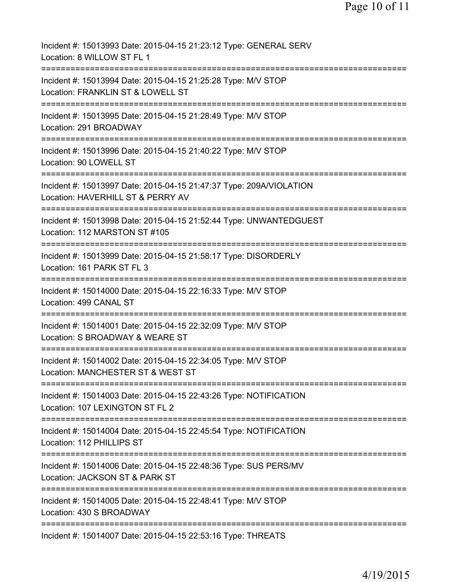| Incident #: 15013993 Date: 2015-04-15 21:23:12 Type: GENERAL SERV<br>Location: 8 WILLOW ST FL 1                         |
|-------------------------------------------------------------------------------------------------------------------------|
| Incident #: 15013994 Date: 2015-04-15 21:25:28 Type: M/V STOP<br>Location: FRANKLIN ST & LOWELL ST                      |
| Incident #: 15013995 Date: 2015-04-15 21:28:49 Type: M/V STOP<br>Location: 291 BROADWAY                                 |
| Incident #: 15013996 Date: 2015-04-15 21:40:22 Type: M/V STOP<br>Location: 90 LOWELL ST                                 |
| Incident #: 15013997 Date: 2015-04-15 21:47:37 Type: 209A/VIOLATION<br>Location: HAVERHILL ST & PERRY AV                |
| Incident #: 15013998 Date: 2015-04-15 21:52:44 Type: UNWANTEDGUEST<br>Location: 112 MARSTON ST #105                     |
| Incident #: 15013999 Date: 2015-04-15 21:58:17 Type: DISORDERLY<br>Location: 161 PARK ST FL 3                           |
| Incident #: 15014000 Date: 2015-04-15 22:16:33 Type: M/V STOP<br>Location: 499 CANAL ST                                 |
| Incident #: 15014001 Date: 2015-04-15 22:32:09 Type: M/V STOP<br>Location: S BROADWAY & WEARE ST                        |
| Incident #: 15014002 Date: 2015-04-15 22:34:05 Type: M/V STOP<br>Location: MANCHESTER ST & WEST ST                      |
| Incident #: 15014003 Date: 2015-04-15 22:43:26 Type: NOTIFICATION<br>Location: 107 LEXINGTON ST FL 2                    |
| Incident #: 15014004 Date: 2015-04-15 22:45:54 Type: NOTIFICATION<br>Location: 112 PHILLIPS ST                          |
| Incident #: 15014006 Date: 2015-04-15 22:48:36 Type: SUS PERS/MV<br>Location: JACKSON ST & PARK ST                      |
| ==========================<br>Incident #: 15014005 Date: 2015-04-15 22:48:41 Type: M/V STOP<br>Location: 430 S BROADWAY |
| Incident #: 15014007 Date: 2015-04-15 22:53:16 Type: THREATS                                                            |